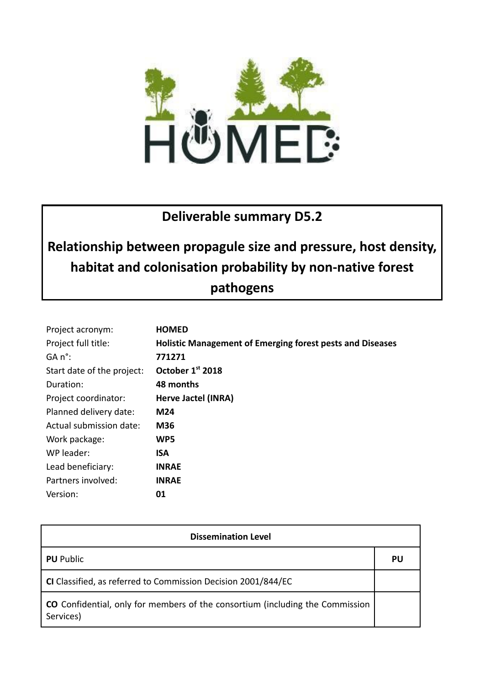

# **Deliverable summary D5.2**

# **Relationship between propagule size and pressure, host density, habitat and colonisation probability by non-native forest**

# **pathogens**

| Project acronym:           | <b>HOMED</b>                                                     |
|----------------------------|------------------------------------------------------------------|
| Project full title:        | <b>Holistic Management of Emerging forest pests and Diseases</b> |
| GA n°:                     | 771271                                                           |
| Start date of the project: | October 1st 2018                                                 |
| Duration:                  | 48 months                                                        |
| Project coordinator:       | Herve Jactel (INRA)                                              |
| Planned delivery date:     | M24                                                              |
| Actual submission date:    | M36                                                              |
| Work package:              | WP5                                                              |
| WP leader:                 | ISA                                                              |
| Lead beneficiary:          | <b>INRAE</b>                                                     |
| Partners involved:         | <b>INRAE</b>                                                     |
| Version:                   | 01                                                               |

| <b>Dissemination Level</b>                                                                        |    |  |
|---------------------------------------------------------------------------------------------------|----|--|
| <b>PU</b> Public                                                                                  | PU |  |
| CI Classified, as referred to Commission Decision 2001/844/EC                                     |    |  |
| <b>CO</b> Confidential, only for members of the consortium (including the Commission<br>Services) |    |  |